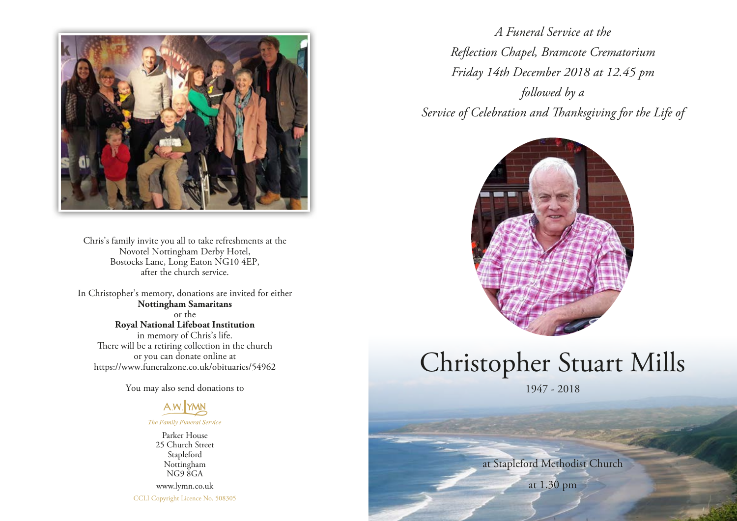

Chris's family invite you all to take refreshments at the Novotel Nottingham Derby Hotel, Bostocks Lane, Long Eaton NG10 4EP, after the church service.

In Christopher's memory, donations are invited for either **Nottingham Samaritans** or the **Royal National Lifeboat Institution** in memory of Chris's life. There will be a retiring collection in the church or you can donate online at https://www.funeralzone.co.uk/obituaries/54962

You may also send donations to

# A.W. YMN

The Family Funeral Service

Parker House 25 Church Street Stapleford Nottingham NG9 8GA www.lymn.co.uk CCLI Copyright Licence No. 508305

*A Funeral Service at the Reflection Chapel, Bramcote Crematorium Friday 14th December 2018 at 12.45 pm followed by a Service of Celebration and Thanksgiving for the Life of*



# Christopher Stuart Mills

1947 - 2018

at Stapleford Methodist Church

at 1.30 pm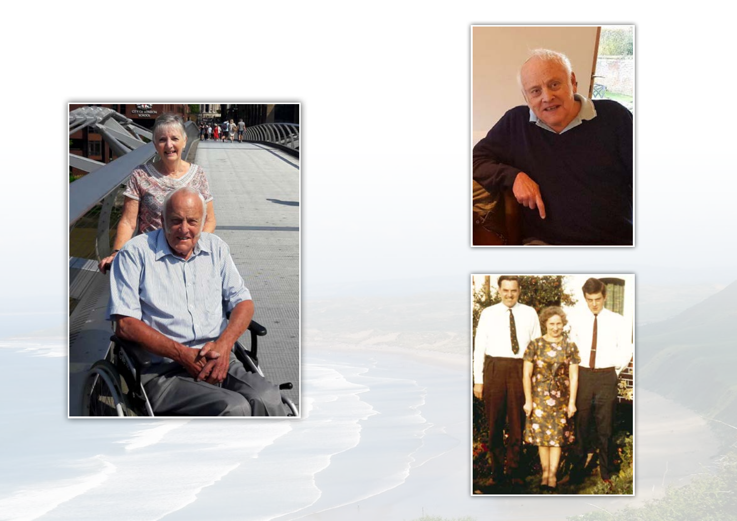



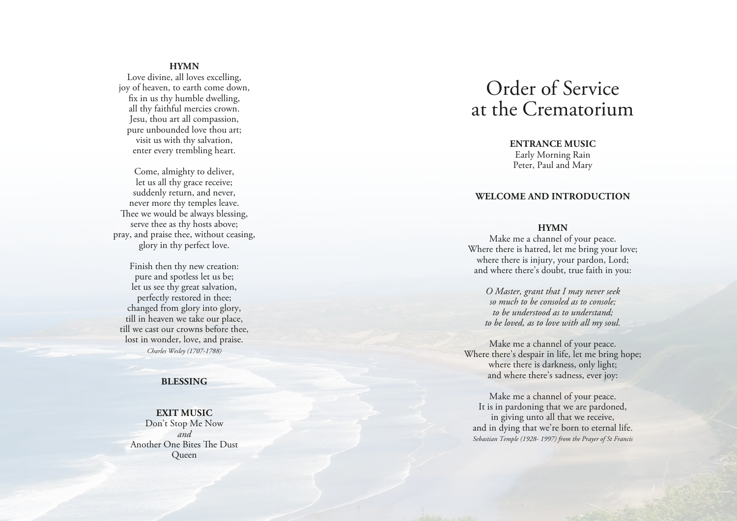#### **HYMN**

Love divine, all loves excelling, joy of heaven, to earth come down, fix in us thy humble dwelling, all thy faithful mercies crown. Jesu, thou art all compassion, pure unbounded love thou art; visit us with thy salvation, enter every trembling heart.

Come, almighty to deliver, let us all thy grace receive; suddenly return, and never, never more thy temples leave. Thee we would be always blessing, serve thee as thy hosts above; pray, and praise thee, without ceasing, glory in thy perfect love.

Finish then thy new creation: pure and spotless let us be; let us see thy great salvation, perfectly restored in thee; changed from glory into glory, till in heaven we take our place, till we cast our crowns before thee, lost in wonder, love, and praise. *Charles Wesley (1707-1788)* 

#### **BLESSING**

**EXIT MUSIC** Don't Stop Me Now *and* Another One Bites The Dust **Queen** 

# Order of Service at the Crematorium

# **ENTRANCE MUSIC**

Early Morning Rain Peter, Paul and Mary

#### **WELCOME AND INTRODUCTION**

#### **HYMN**

Make me a channel of your peace. Where there is hatred, let me bring your love; where there is injury, your pardon, Lord; and where there's doubt, true faith in you:

*O Master, grant that I may never seek so much to be consoled as to console; to be understood as to understand; to be loved, as to love with all my soul.*

Make me a channel of your peace. Where there's despair in life, let me bring hope; where there is darkness, only light; and where there's sadness, ever joy:

Make me a channel of your peace. It is in pardoning that we are pardoned, in giving unto all that we receive, and in dying that we're born to eternal life. *Sebastian Temple (1928- 1997) from the Prayer of St Francis*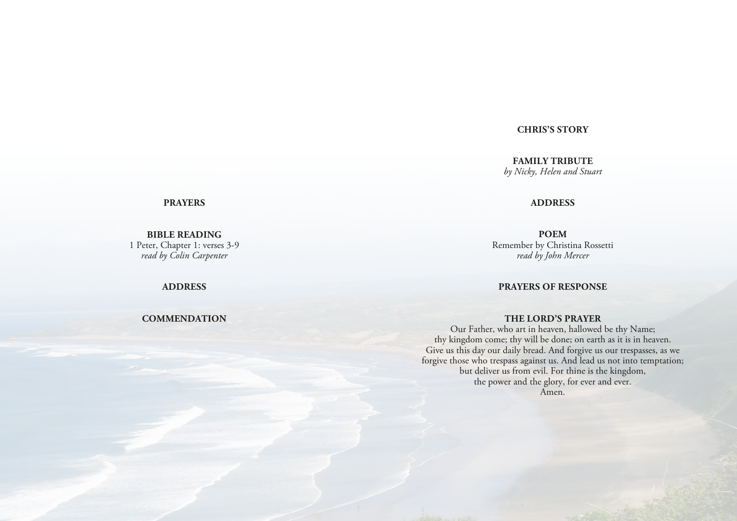# **CHRIS'S STORY**

**FAMILY TRIBUTE** *by Nicky, Helen and Stuart*

#### **ADDRESS**

**POEM** Remember by Christina Rossetti *read by John Mercer*

# **PRAYERS OF RESPONSE**

### **THE LORD'S PRAYER**

Our Father, who art in heaven, hallowed be thy Name; thy kingdom come; thy will be done; on earth as it is in heaven. Give us this day our daily bread. And forgive us our trespasses, as we forgive those who trespass against us. And lead us not into temptation; but deliver us from evil. For thine is the kingdom, the power and the glory, for ever and ever. Amen.

#### **PRAYERS**

**BIBLE READING** 1 Peter, Chapter 1: verses 3-9 *read by Colin Carpenter*

**ADDRESS**

# **COMMENDATION**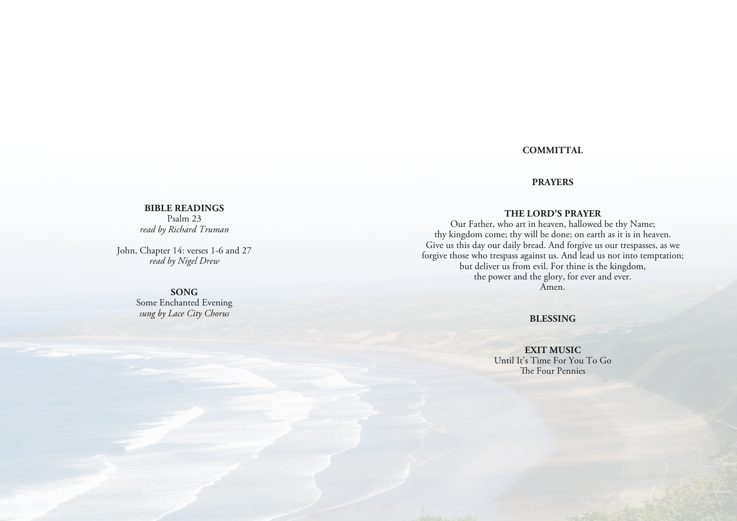# **COMMITTAL**

#### **PRAYERS**

# **THE LORD'S PRAYER**

Our Father, who art in heaven, hallowed be thy Name; thy kingdom come; thy will be done; on earth as it is in heaven. Give us this day our daily bread. And forgive us our trespasses, as we forgive those who trespass against us. And lead us not into temptation; but deliver us from evil. For thine is the kingdom, the power and the glory, for ever and ever. Amen.

### **BLESSING**

**EXIT MUSIC** Until It's Time For You To Go The Four Pennies

# **BIBLE READINGS** Psalm 23 *read by Richard Truman*

John, Chapter 14: verses 1-6 and 27 *read by Nigel Drew*

### **SONG**

Some Enchanted Evening *sung by Lace City Chorus*